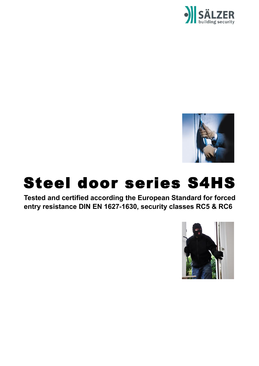



## Steel door series S4HS

**Tested and certified according the European Standard for forced entry resistance DIN EN 1627-1630, security classes RC5 & RC6**

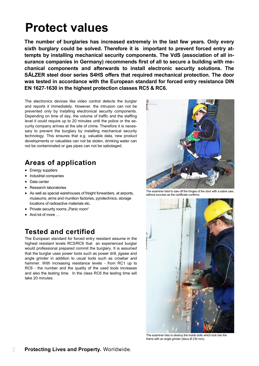### **Protect values**

**The number of burglaries has increased extremely in the last few years. Only every sixth burglary could be solved. Therefore it is important to prevent forced entry attempts by installing mechanical security components. The VdS (association of all insurance companies in Germany) recommends first of all to secure a building with mechanical components and afterwards to install electronic security solutions. The SÄLZER steel door series S4HS offers that required mechanical protection. The door was tested in accordance with the European standard for forced entry resistance DIN EN 1627-1630 in the highest protection classes RC5 & RC6.** 

The electronics devices like video control detects the burglar and reports it immediately. However, the intrusion can not be prevented only by installing electronical security components. Depending on time of day, the volume of traffic and the staffing level it could require up to 20 minutes until the police or the security company arrives at the site of crime. Therefore it is necessary to prevent the burglary by installing mechanical security technology. This ensures that e.g. valuable data, new product developments or valuables can not be stolen, drinking water can not be contaminated or gas pipes can not be sabotaged.

### **Areas of application**

- Energy suppliers
- Industrial companies
- Data center
- Research laboratories
- As well as special warehouses of freight forwarders, at airports, museums, arms and munition factories, pyrotechnics, storage locations of radioactive materials etc.
- Private security rooms "Panic room"
- And lot of more ...

#### **Tested and certified**

The European standard for forced entry resistant assume in the highest resistant levels RC5/RC6 that an experienced burglar would professional prepared commit the burglary. It is assumed that the burglar uses power tools such as power drill, jigsaw and angle grinder in addition to usual tools such as crowbar and hammer. With increasing resistance levels - from RC1 up to RC6 - the number and the quality of the used tools increases and also the testing time. In the class RC6 the testing time will take 20 minutes.



The examiner tried to saw off the hinges of the door with a sabre saw; without success as the certificate confirms.



The examiner tries to destroy the inside bolts which lock into the frame with an angle grinder (discs Ø 230 mm).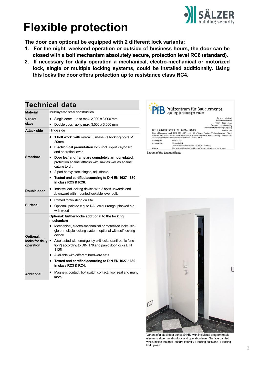

## **Flexible protection**

**The door can optional be equipped with 2 different lock variants:**

- **1. For the night, weekend operation or outside of business hours, the door can be closed with a bolt mechanism absolutely secure, protection level RC6 (standard).**
- **2. If necessary for daily operation a mechanical, electro-mechanical or motorized lock, single or multiple locking systems, could be installed additionally. Using this locks the door offers protection up to resistance class RC4.**

### **Technical data**

| <b>Material</b>                           | Multilayered steel construction.                                                                                                                                                                                                                                                                                                                                             |
|-------------------------------------------|------------------------------------------------------------------------------------------------------------------------------------------------------------------------------------------------------------------------------------------------------------------------------------------------------------------------------------------------------------------------------|
| <b>Variant</b><br>sizes                   | Single door: up to max. $2,000 \times 3,000$ mm                                                                                                                                                                                                                                                                                                                              |
|                                           | Double door: up to max. $3,500 \times 3,000$ mm                                                                                                                                                                                                                                                                                                                              |
| Attack side                               | Hinge side                                                                                                                                                                                                                                                                                                                                                                   |
| <b>Standard</b>                           | 1 bolt work with overall 5 massive locking bolts Ø<br>20mm.<br>• Electronical permutation lock incl. input keyboard<br>and operation lever.<br>Door leaf and frame are completely armour-plated,<br>protection against attacks with saw as well as against<br>cutting torch.<br>2-part heavy steel hinges, adjustable.<br>Tested and certified according to DIN EN 1627-1630 |
|                                           | in class RC5 & RC6.                                                                                                                                                                                                                                                                                                                                                          |
| Double door                               | Inactive leaf locking device with 2 bolts upwards and<br>downward with mounted lockable lever bolt.                                                                                                                                                                                                                                                                          |
| <b>Surface</b>                            | Primed for finishing on site.                                                                                                                                                                                                                                                                                                                                                |
|                                           | Optional: painted e.g. to RAL colour range, planked e.g.<br>$\bullet$<br>with wood                                                                                                                                                                                                                                                                                           |
|                                           | Optional: further locks additional to the locking<br>mechanism                                                                                                                                                                                                                                                                                                               |
| Optional:<br>locks for daily<br>operation | Mechanical, electro-mechanical or motorized locks, sin-<br>gle or multiple locking system, optional with self-locking<br>device.                                                                                                                                                                                                                                             |
|                                           | Also tested with emergency exit locks ("anti-panic func-<br>tion") according to DIN 179 and panic door locks DIN<br>1125.                                                                                                                                                                                                                                                    |
|                                           | Available with different hardware sets.<br>٠                                                                                                                                                                                                                                                                                                                                 |
|                                           | Tested and certified according to DIN EN 1627-1630<br>in class RC3 & RC4.                                                                                                                                                                                                                                                                                                    |
| <b>Additional</b>                         | Magnetic contact, bolt switch contact, floor seal and many<br>more.                                                                                                                                                                                                                                                                                                          |





Variant of a steel door series S4HS, with individual programmable electronical permutation lock and operation lever. Surface painted white, inside the door leaf are laterally 4 locking bolts and 1 locking bolt upward.